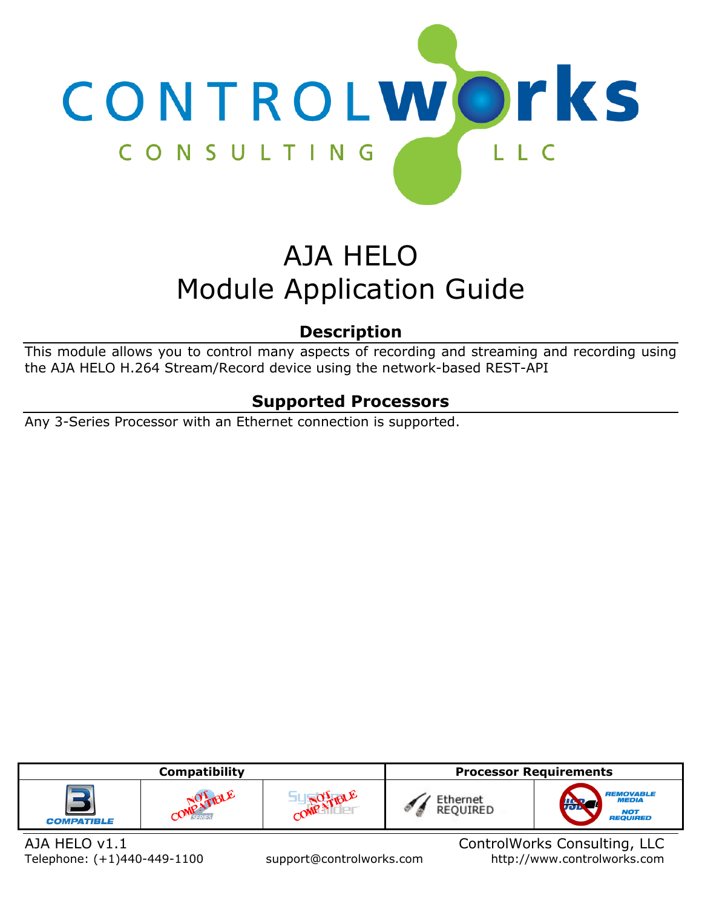

# AJA HELO Module Application Guide

# **Description**

<span id="page-0-0"></span>This module allows you to control many aspects of recording and streaming and recording using the AJA HELO H.264 Stream/Record device using the network-based REST-API

## **Supported Processors**

<span id="page-0-1"></span>Any 3-Series Processor with an Ethernet connection is supported.

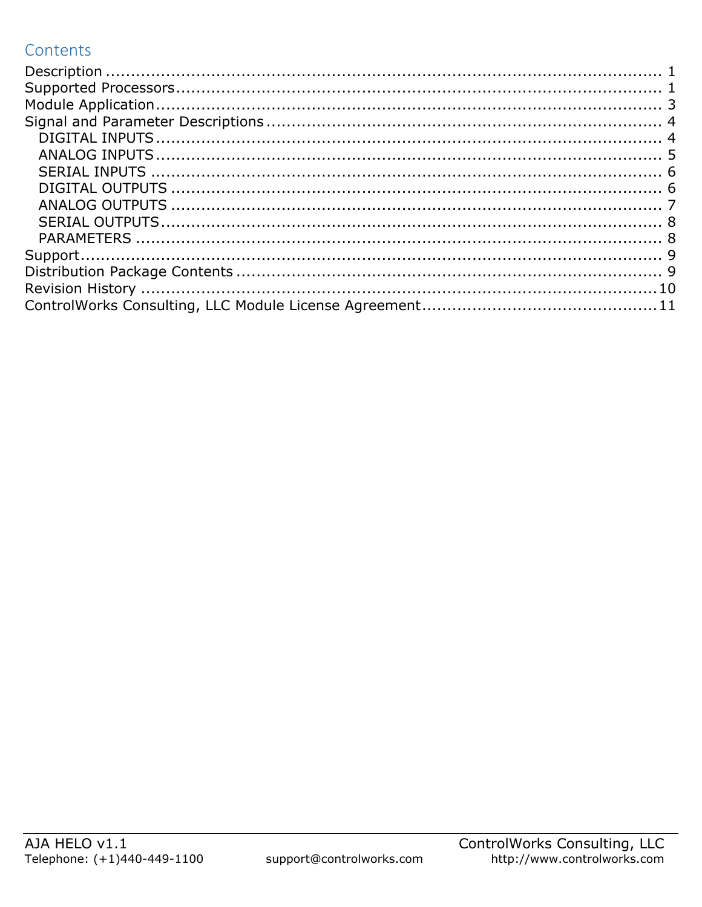## Contents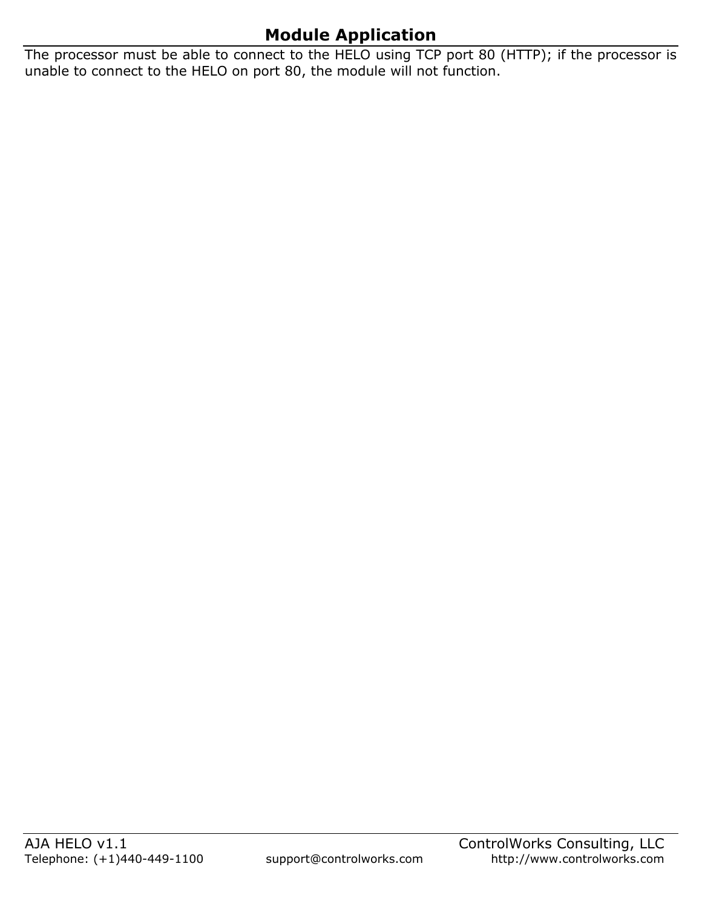# **Module Application**

<span id="page-2-0"></span>The processor must be able to connect to the HELO using TCP port 80 (HTTP); if the processor is unable to connect to the HELO on port 80, the module will not function.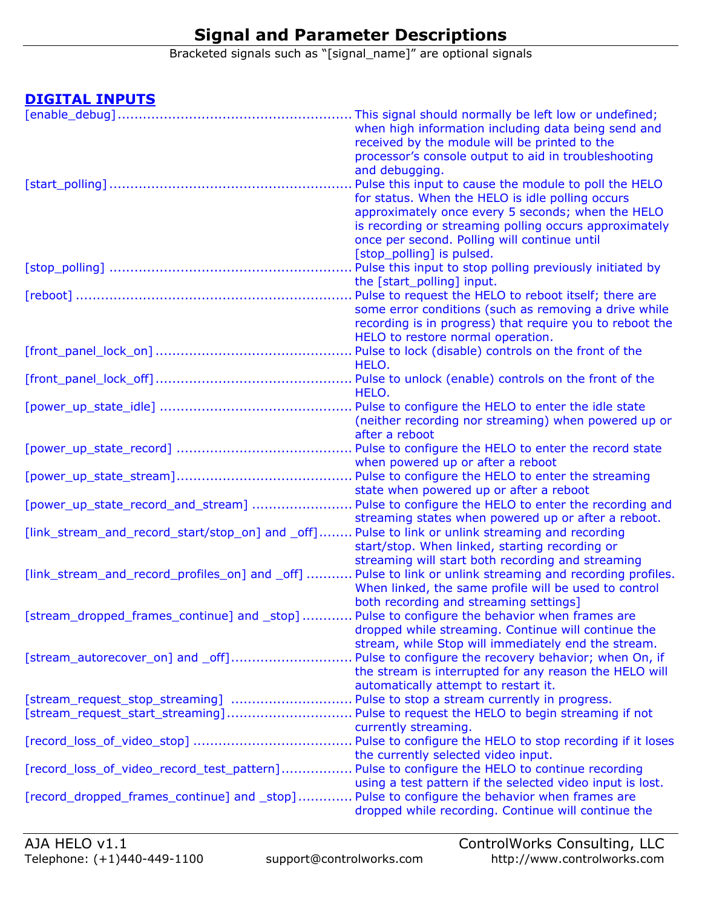## **Signal and Parameter Descriptions**

Bracketed signals such as "[signal\_name]" are optional signals

#### <span id="page-3-1"></span><span id="page-3-0"></span>**DIGITAL INPUTS**

|                                                                                                  | This signal should normally be left low or undefined;                                                     |
|--------------------------------------------------------------------------------------------------|-----------------------------------------------------------------------------------------------------------|
|                                                                                                  | when high information including data being send and                                                       |
|                                                                                                  | received by the module will be printed to the                                                             |
|                                                                                                  | processor's console output to aid in troubleshooting                                                      |
|                                                                                                  | and debugging.                                                                                            |
|                                                                                                  | Pulse this input to cause the module to poll the HELO                                                     |
|                                                                                                  | for status. When the HELO is idle polling occurs                                                          |
|                                                                                                  | approximately once every 5 seconds; when the HELO                                                         |
|                                                                                                  | is recording or streaming polling occurs approximately                                                    |
|                                                                                                  | once per second. Polling will continue until                                                              |
|                                                                                                  | [stop_polling] is pulsed.                                                                                 |
|                                                                                                  | Pulse this input to stop polling previously initiated by                                                  |
|                                                                                                  | the [start_polling] input.                                                                                |
|                                                                                                  | Pulse to request the HELO to reboot itself; there are                                                     |
|                                                                                                  | some error conditions (such as removing a drive while                                                     |
|                                                                                                  | recording is in progress) that require you to reboot the                                                  |
|                                                                                                  | HELO to restore normal operation.                                                                         |
|                                                                                                  | Pulse to lock (disable) controls on the front of the                                                      |
|                                                                                                  | HELO.                                                                                                     |
|                                                                                                  |                                                                                                           |
|                                                                                                  | HELO.                                                                                                     |
|                                                                                                  |                                                                                                           |
|                                                                                                  | (neither recording nor streaming) when powered up or                                                      |
|                                                                                                  | after a reboot                                                                                            |
|                                                                                                  |                                                                                                           |
|                                                                                                  | when powered up or after a reboot                                                                         |
|                                                                                                  |                                                                                                           |
|                                                                                                  | state when powered up or after a reboot                                                                   |
| [power_up_state_record_and_stream]  Pulse to configure the HELO to enter the recording and       |                                                                                                           |
|                                                                                                  | streaming states when powered up or after a reboot.                                                       |
| [link_stream_and_record_start/stop_on] and _off] Pulse to link or unlink streaming and recording |                                                                                                           |
|                                                                                                  | start/stop. When linked, starting recording or                                                            |
|                                                                                                  | streaming will start both recording and streaming                                                         |
|                                                                                                  | [link_stream_and_record_profiles_on] and _off]  Pulse to link or unlink streaming and recording profiles. |
|                                                                                                  | When linked, the same profile will be used to control                                                     |
|                                                                                                  | both recording and streaming settings]                                                                    |
| [stream_dropped_frames_continue] and _stop]  Pulse to configure the behavior when frames are     |                                                                                                           |
|                                                                                                  | dropped while streaming. Continue will continue the                                                       |
|                                                                                                  | stream, while Stop will immediately end the stream.                                                       |
| [stream_autorecover_on] and _off]                                                                | Pulse to configure the recovery behavior; when On, if                                                     |
|                                                                                                  | the stream is interrupted for any reason the HELO will                                                    |
|                                                                                                  | automatically attempt to restart it.                                                                      |
| [stream_request_stop_streaming]  Pulse to stop a stream currently in progress.                   |                                                                                                           |
|                                                                                                  |                                                                                                           |
|                                                                                                  | currently streaming.                                                                                      |
|                                                                                                  |                                                                                                           |
|                                                                                                  | the currently selected video input.                                                                       |
| [record_loss_of_video_record_test_pattern]                                                       | Pulse to configure the HELO to continue recording                                                         |
|                                                                                                  | using a test pattern if the selected video input is lost.                                                 |
| [record_dropped_frames_continue] and _stop]                                                      | Pulse to configure the behavior when frames are                                                           |
|                                                                                                  | dropped while recording. Continue will continue the                                                       |
|                                                                                                  |                                                                                                           |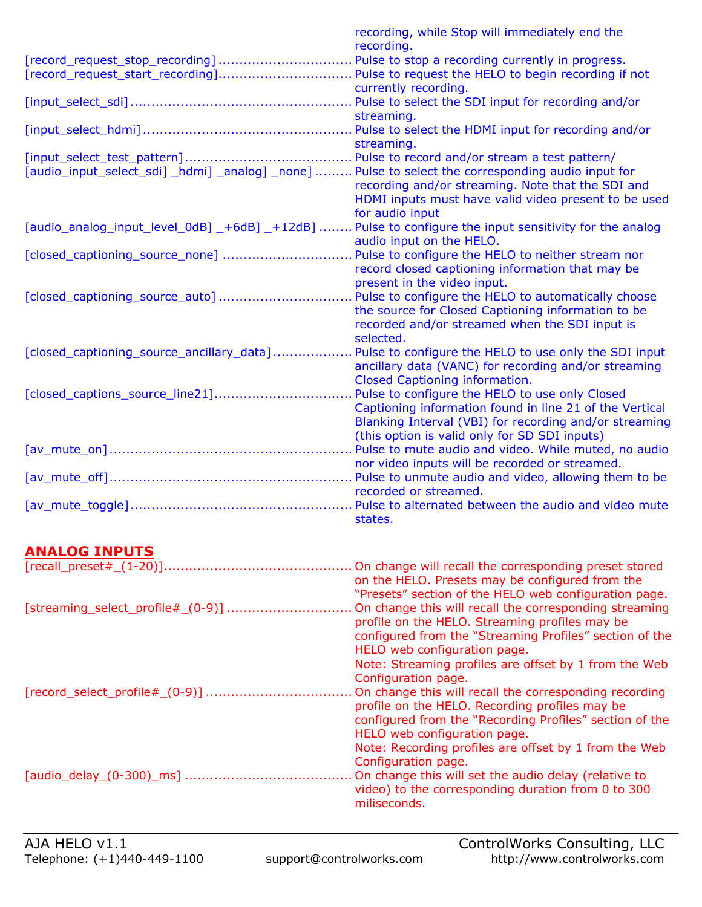|                                                                                                        | recording, while Stop will immediately end the          |
|--------------------------------------------------------------------------------------------------------|---------------------------------------------------------|
|                                                                                                        | recording.                                              |
| [record_request_stop_recording]  Pulse to stop a recording currently in progress.                      |                                                         |
|                                                                                                        | currently recording.                                    |
|                                                                                                        |                                                         |
|                                                                                                        | streaming.                                              |
|                                                                                                        |                                                         |
|                                                                                                        | streaming.                                              |
|                                                                                                        |                                                         |
| [audio_input_select_sdi] _hdmi] _analog] _none]  Pulse to select the corresponding audio input for     |                                                         |
|                                                                                                        | recording and/or streaming. Note that the SDI and       |
|                                                                                                        | HDMI inputs must have valid video present to be used    |
|                                                                                                        | for audio input                                         |
| [audio_analog_input_level_0dB] _+6dB] _+12dB]  Pulse to configure the input sensitivity for the analog |                                                         |
|                                                                                                        | audio input on the HELO.                                |
| [closed_captioning_source_none]  Pulse to configure the HELO to neither stream nor                     |                                                         |
|                                                                                                        | record closed captioning information that may be        |
| [closed_captioning_source_auto]  Pulse to configure the HELO to automatically choose                   | present in the video input.                             |
|                                                                                                        | the source for Closed Captioning information to be      |
|                                                                                                        | recorded and/or streamed when the SDI input is          |
|                                                                                                        | selected.                                               |
| [closed_captioning_source_ancillary_data]                                                              | . Pulse to configure the HELO to use only the SDI input |
|                                                                                                        | ancillary data (VANC) for recording and/or streaming    |
|                                                                                                        | Closed Captioning information.                          |
| [closed_captions_source_line21]                                                                        | . Pulse to configure the HELO to use only Closed        |
|                                                                                                        | Captioning information found in line 21 of the Vertical |
|                                                                                                        | Blanking Interval (VBI) for recording and/or streaming  |
|                                                                                                        | (this option is valid only for SD SDI inputs)           |
|                                                                                                        | Pulse to mute audio and video. While muted, no audio    |
|                                                                                                        | nor video inputs will be recorded or streamed.          |
|                                                                                                        |                                                         |
|                                                                                                        | recorded or streamed.                                   |
|                                                                                                        | states.                                                 |
|                                                                                                        |                                                         |
|                                                                                                        |                                                         |

## <span id="page-4-0"></span>**ANALOG INPUTS**

|                                   | On change will recall the corresponding preset stored<br>on the HELO. Presets may be configured from the<br>"Presets" section of the HELO web configuration page.                                                                                                                   |
|-----------------------------------|-------------------------------------------------------------------------------------------------------------------------------------------------------------------------------------------------------------------------------------------------------------------------------------|
| [streaming_select_profile#_(0-9)] | On change this will recall the corresponding streaming<br>profile on the HELO. Streaming profiles may be<br>configured from the "Streaming Profiles" section of the<br>HELO web configuration page.<br>Note: Streaming profiles are offset by 1 from the Web<br>Configuration page. |
| [record_select_profile#_(0-9)]    | On change this will recall the corresponding recording<br>profile on the HELO. Recording profiles may be<br>configured from the "Recording Profiles" section of the<br>HELO web configuration page.<br>Note: Recording profiles are offset by 1 from the Web<br>Configuration page. |
| [audio_delay_(0-300)_ms]          | On change this will set the audio delay (relative to<br>video) to the corresponding duration from 0 to 300<br>miliseconds.                                                                                                                                                          |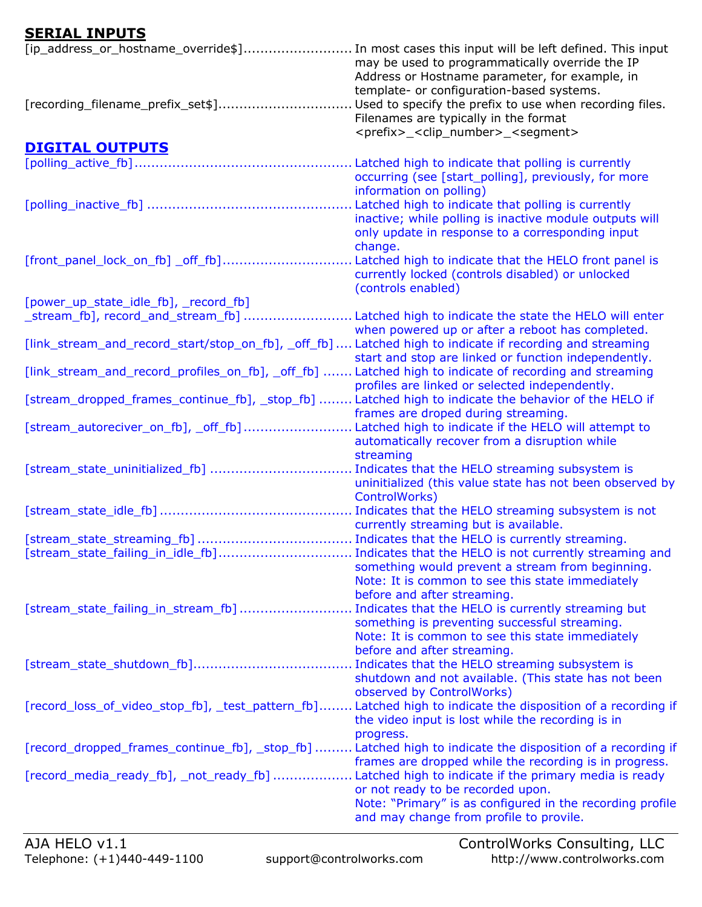### <span id="page-5-0"></span>**SERIAL INPUTS**

<span id="page-5-1"></span>

| [ip_address_or_hostname_override\$] In most cases this input will be left defined. This input            | may be used to programmatically override the IP<br>Address or Hostname parameter, for example, in                                                                                                                                                    |
|----------------------------------------------------------------------------------------------------------|------------------------------------------------------------------------------------------------------------------------------------------------------------------------------------------------------------------------------------------------------|
| [recording_filename_prefix_set\$]                                                                        | template- or configuration-based systems.<br>Used to specify the prefix to use when recording files.<br>Filenames are typically in the format<br><prefix>_<clip_number>_<segment></segment></clip_number></prefix>                                   |
| <b>DIGITAL OUTPUTS</b>                                                                                   |                                                                                                                                                                                                                                                      |
|                                                                                                          |                                                                                                                                                                                                                                                      |
|                                                                                                          | occurring (see [start_polling], previously, for more<br>information on polling)<br>Latched high to indicate that polling is currently<br>inactive; while polling is inactive module outputs will<br>only update in response to a corresponding input |
|                                                                                                          | change.                                                                                                                                                                                                                                              |
| [front_panel_lock_on_fb] _off_fb]                                                                        | Latched high to indicate that the HELO front panel is<br>currently locked (controls disabled) or unlocked<br>(controls enabled)                                                                                                                      |
| [power_up_state_idle_fb], _record_fb]                                                                    |                                                                                                                                                                                                                                                      |
| _stream_fb], record_and_stream_fb] ……………………… Latched high to indicate the state the HELO will enter      |                                                                                                                                                                                                                                                      |
|                                                                                                          | when powered up or after a reboot has completed.                                                                                                                                                                                                     |
| [link_stream_and_record_start/stop_on_fb], _off_fb]  Latched high to indicate if recording and streaming | start and stop are linked or function independently.                                                                                                                                                                                                 |
| [link_stream_and_record_profiles_on_fb], _off_fb]  Latched high to indicate of recording and streaming   |                                                                                                                                                                                                                                                      |
|                                                                                                          | profiles are linked or selected independently.                                                                                                                                                                                                       |
| [stream_dropped_frames_continue_fb], _stop_fb]  Latched high to indicate the behavior of the HELO if     | frames are droped during streaming.                                                                                                                                                                                                                  |
| [stream_autoreciver_on_fb], _off_fb] Latched high to indicate if the HELO will attempt to                |                                                                                                                                                                                                                                                      |
|                                                                                                          | automatically recover from a disruption while<br>streaming                                                                                                                                                                                           |
|                                                                                                          |                                                                                                                                                                                                                                                      |
|                                                                                                          | uninitialized (this value state has not been observed by<br>ControlWorks)                                                                                                                                                                            |
|                                                                                                          |                                                                                                                                                                                                                                                      |
|                                                                                                          | currently streaming but is available.                                                                                                                                                                                                                |
| [stream_state_failing_in_idle_fb] Indicates that the HELO is not currently streaming and                 | something would prevent a stream from beginning.                                                                                                                                                                                                     |
|                                                                                                          | Note: It is common to see this state immediately                                                                                                                                                                                                     |
|                                                                                                          | before and after streaming.                                                                                                                                                                                                                          |
| [stream_state_failing_in_stream_fb]                                                                      | Indicates that the HELO is currently streaming but                                                                                                                                                                                                   |
|                                                                                                          | something is preventing successful streaming.                                                                                                                                                                                                        |
|                                                                                                          | Note: It is common to see this state immediately                                                                                                                                                                                                     |
|                                                                                                          | before and after streaming.                                                                                                                                                                                                                          |
|                                                                                                          | Indicates that the HELO streaming subsystem is<br>shutdown and not available. (This state has not been                                                                                                                                               |
|                                                                                                          | observed by ControlWorks)<br>[record_loss_of_video_stop_fb], _test_pattern_fb] Latched high to indicate the disposition of a recording if                                                                                                            |
|                                                                                                          | the video input is lost while the recording is in<br>progress.                                                                                                                                                                                       |
|                                                                                                          | [record_dropped_frames_continue_fb], _stop_fb]  Latched high to indicate the disposition of a recording if                                                                                                                                           |
|                                                                                                          | frames are dropped while the recording is in progress.                                                                                                                                                                                               |
| [record_media_ready_fb], _not_ready_fb]  Latched high to indicate if the primary media is ready          |                                                                                                                                                                                                                                                      |
|                                                                                                          | or not ready to be recorded upon.                                                                                                                                                                                                                    |
|                                                                                                          | Note: "Primary" is as configured in the recording profile<br>and may change from profile to provile.                                                                                                                                                 |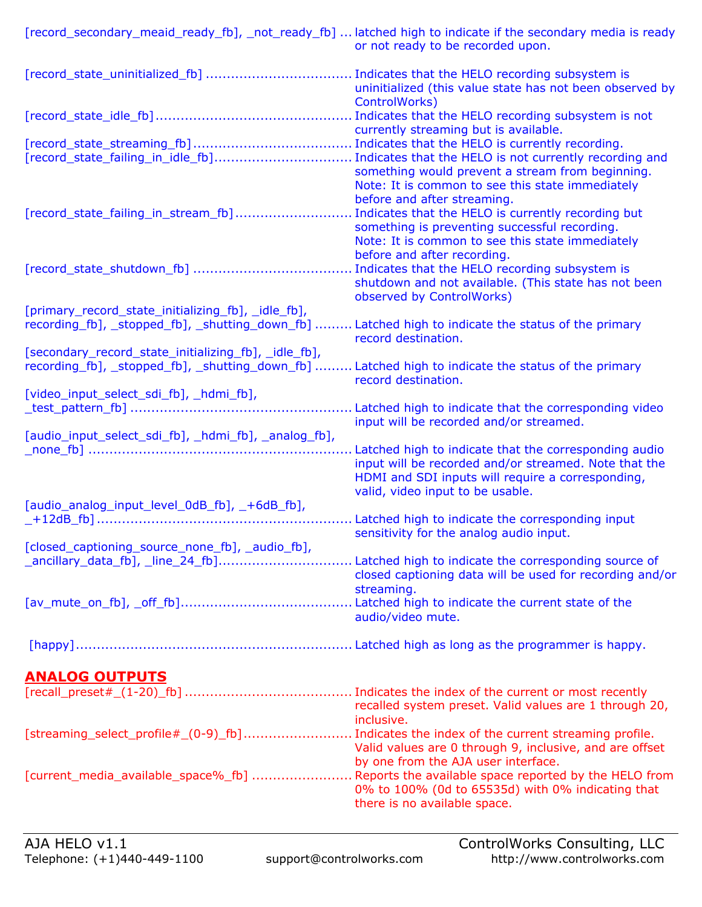<span id="page-6-0"></span>

| [record_secondary_meaid_ready_fb], _not_ready_fb]  latched high to indicate if the secondary media is ready                                                 | or not ready to be recorded upon.                                                                                                                                                      |
|-------------------------------------------------------------------------------------------------------------------------------------------------------------|----------------------------------------------------------------------------------------------------------------------------------------------------------------------------------------|
|                                                                                                                                                             | uninitialized (this value state has not been observed by<br>ControlWorks)                                                                                                              |
|                                                                                                                                                             | Indicates that the HELO recording subsystem is not<br>currently streaming but is available.                                                                                            |
| [record_state_failing_in_idle_fb] Indicates that the HELO is not currently recording and                                                                    | something would prevent a stream from beginning.<br>Note: It is common to see this state immediately<br>before and after streaming.                                                    |
| [record_state_failing_in_stream_fb]                                                                                                                         | Indicates that the HELO is currently recording but<br>something is preventing successful recording.<br>Note: It is common to see this state immediately<br>before and after recording. |
|                                                                                                                                                             | Indicates that the HELO recording subsystem is<br>shutdown and not available. (This state has not been<br>observed by ControlWorks)                                                    |
| [primary_record_state_initializing_fb], _idle_fb],<br>recording [b], _stopped_fb], _shutting_down_fb]  Latched high to indicate the status of the primary   | record destination.                                                                                                                                                                    |
| [secondary_record_state_initializing_fb], _idle_fb],<br>recording_fb], _stopped_fb], _shutting_down_fb]  Latched high to indicate the status of the primary | record destination.                                                                                                                                                                    |
| [video_input_select_sdi_fb], _hdmi_fb],<br>test_pattern_fb] ……………………………………………………… Latched high to indicate that the corresponding video                     | input will be recorded and/or streamed.                                                                                                                                                |
| [audio_input_select_sdi_fb], _hdmi_fb], _analog_fb],                                                                                                        | input will be recorded and/or streamed. Note that the<br>HDMI and SDI inputs will require a corresponding,<br>valid, video input to be usable.                                         |
| [audio_analog_input_level_0dB_fb], _+6dB_fb],                                                                                                               | sensitivity for the analog audio input.                                                                                                                                                |
| [closed_captioning_source_none_fb], _audio_fb],<br>_ancillary_data_fb], _line_24_fb] Latched high to indicate the corresponding source of                   | closed captioning data will be used for recording and/or<br>streaming.                                                                                                                 |
|                                                                                                                                                             | audio/video mute.                                                                                                                                                                      |
|                                                                                                                                                             |                                                                                                                                                                                        |
| <b>ANALOG OUTPUTS</b>                                                                                                                                       |                                                                                                                                                                                        |
|                                                                                                                                                             | recalled system preset. Valid values are 1 through 20,<br>inclusive.                                                                                                                   |
| [streaming_select_profile#_(0-9)_fb] Indicates the index of the current streaming profile.                                                                  | Valid values are 0 through 9, inclusive, and are offset<br>by one from the AJA user interface.                                                                                         |
| [current_media_available_space%_fb]  Reports the available space reported by the HELO from                                                                  | 0% to 100% (0d to 65535d) with 0% indicating that<br>there is no available space.                                                                                                      |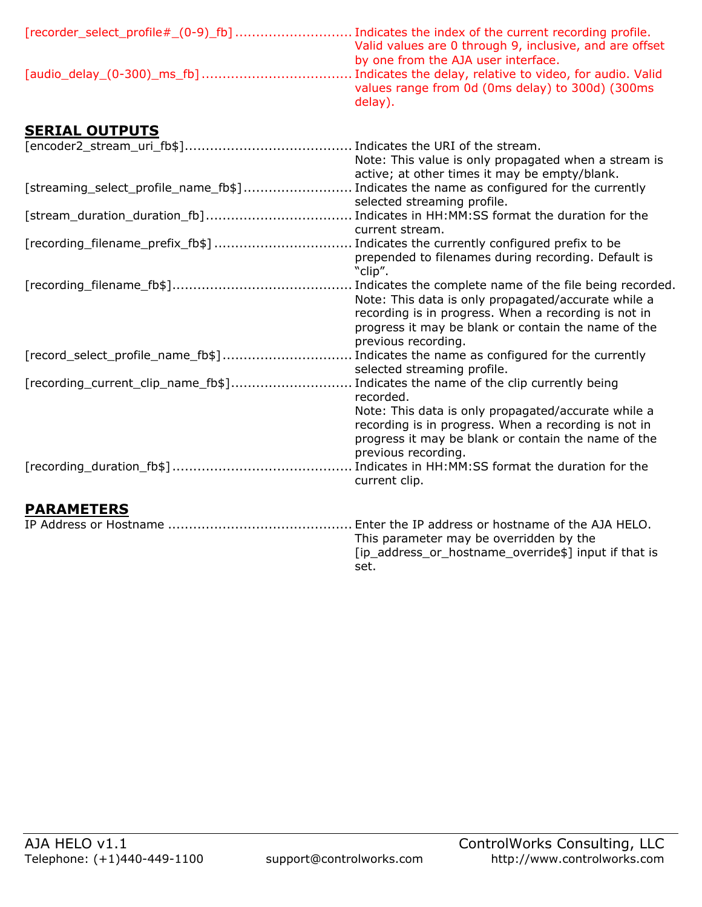| Valid values are 0 through 9, inclusive, and are offset     |
|-------------------------------------------------------------|
| by one from the AJA user interface.                         |
| values range from 0d (0ms delay) to 300d) (300ms<br>delay). |

## <span id="page-7-0"></span>**SERIAL OUTPUTS**

<span id="page-7-1"></span>

|                                                                                         | Note: This value is only propagated when a stream is                                                                                                                                                                                                 |
|-----------------------------------------------------------------------------------------|------------------------------------------------------------------------------------------------------------------------------------------------------------------------------------------------------------------------------------------------------|
|                                                                                         | active; at other times it may be empty/blank.                                                                                                                                                                                                        |
| [streaming_select_profile_name_fb\$] Indicates the name as configured for the currently |                                                                                                                                                                                                                                                      |
|                                                                                         | selected streaming profile.                                                                                                                                                                                                                          |
| [stream_duration_duration_fb] Indicates in HH:MM:SS format the duration for the         |                                                                                                                                                                                                                                                      |
|                                                                                         | current stream.                                                                                                                                                                                                                                      |
| [recording_filename_prefix_fb\$]  Indicates the currently configured prefix to be       |                                                                                                                                                                                                                                                      |
|                                                                                         | prepended to filenames during recording. Default is<br>"clip".                                                                                                                                                                                       |
|                                                                                         | Indicates the complete name of the file being recorded.<br>Note: This data is only propagated/accurate while a<br>recording is in progress. When a recording is not in<br>progress it may be blank or contain the name of the<br>previous recording. |
| [record_select_profile_name_fb\$]                                                       | Indicates the name as configured for the currently<br>selected streaming profile.                                                                                                                                                                    |
| [recording_current_clip_name_fb\$]                                                      | Indicates the name of the clip currently being<br>recorded.                                                                                                                                                                                          |
|                                                                                         | Note: This data is only propagated/accurate while a<br>recording is in progress. When a recording is not in<br>progress it may be blank or contain the name of the<br>previous recording.<br>current clip.                                           |
| <b>PARAMETERS</b>                                                                       |                                                                                                                                                                                                                                                      |
|                                                                                         | Enter the IP address or hostname of the AJA HELO.<br>This parameter may be overridden by the<br>[ip_address_or_hostname_override\$] input if that is<br>set.                                                                                         |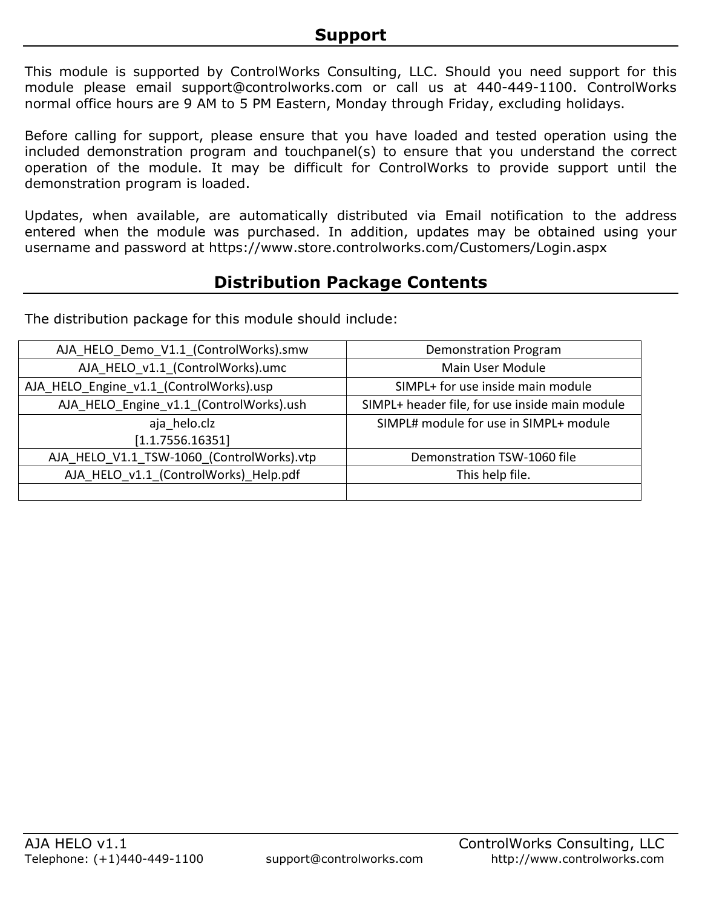<span id="page-8-0"></span>This module is supported by ControlWorks Consulting, LLC. Should you need support for this module please email support@controlworks.com or call us at 440-449-1100. ControlWorks normal office hours are 9 AM to 5 PM Eastern, Monday through Friday, excluding holidays.

Before calling for support, please ensure that you have loaded and tested operation using the included demonstration program and touchpanel(s) to ensure that you understand the correct operation of the module. It may be difficult for ControlWorks to provide support until the demonstration program is loaded.

Updates, when available, are automatically distributed via Email notification to the address entered when the module was purchased. In addition, updates may be obtained using your username and password at https://www.store.controlworks.com/Customers/Login.aspx

## **Distribution Package Contents**

<span id="page-8-1"></span>The distribution package for this module should include:

| AJA_HELO_Demo_V1.1_(ControlWorks).smw     | <b>Demonstration Program</b>                   |
|-------------------------------------------|------------------------------------------------|
| AJA_HELO_v1.1_(ControlWorks).umc          | Main User Module                               |
| AJA HELO Engine v1.1 (ControlWorks).usp   | SIMPL+ for use inside main module              |
| AJA HELO Engine v1.1 (ControlWorks).ush   | SIMPL+ header file, for use inside main module |
| aja helo.clz                              | SIMPL# module for use in SIMPL+ module         |
| [1.1.7556.16351]                          |                                                |
| AJA_HELO_V1.1_TSW-1060_(ControlWorks).vtp | Demonstration TSW-1060 file                    |
| AJA HELO v1.1 (ControlWorks) Help.pdf     | This help file.                                |
|                                           |                                                |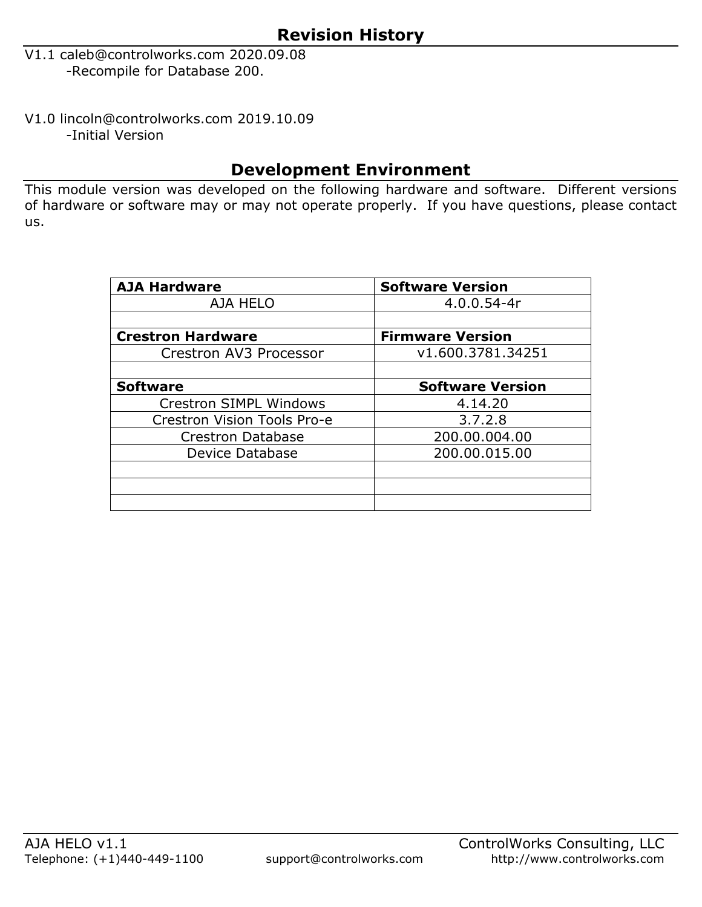- <span id="page-9-0"></span>V1.1 caleb@controlworks.com 2020.09.08 -Recompile for Database 200.
- V1.0 lincoln@controlworks.com 2019.10.09 -Initial Version

## **Development Environment**

This module version was developed on the following hardware and software. Different versions of hardware or software may or may not operate properly. If you have questions, please contact us.

| <b>AJA Hardware</b>           | <b>Software Version</b> |
|-------------------------------|-------------------------|
| AJA HELO                      | $4.0.0.54 - 4r$         |
|                               |                         |
| <b>Crestron Hardware</b>      | <b>Firmware Version</b> |
| Crestron AV3 Processor        | v1.600.3781.34251       |
|                               |                         |
| <b>Software</b>               | <b>Software Version</b> |
| <b>Crestron SIMPL Windows</b> | 4.14.20                 |
| Crestron Vision Tools Pro-e   | 3.7.2.8                 |
| <b>Crestron Database</b>      | 200.00.004.00           |
| Device Database               | 200.00.015.00           |
|                               |                         |
|                               |                         |
|                               |                         |